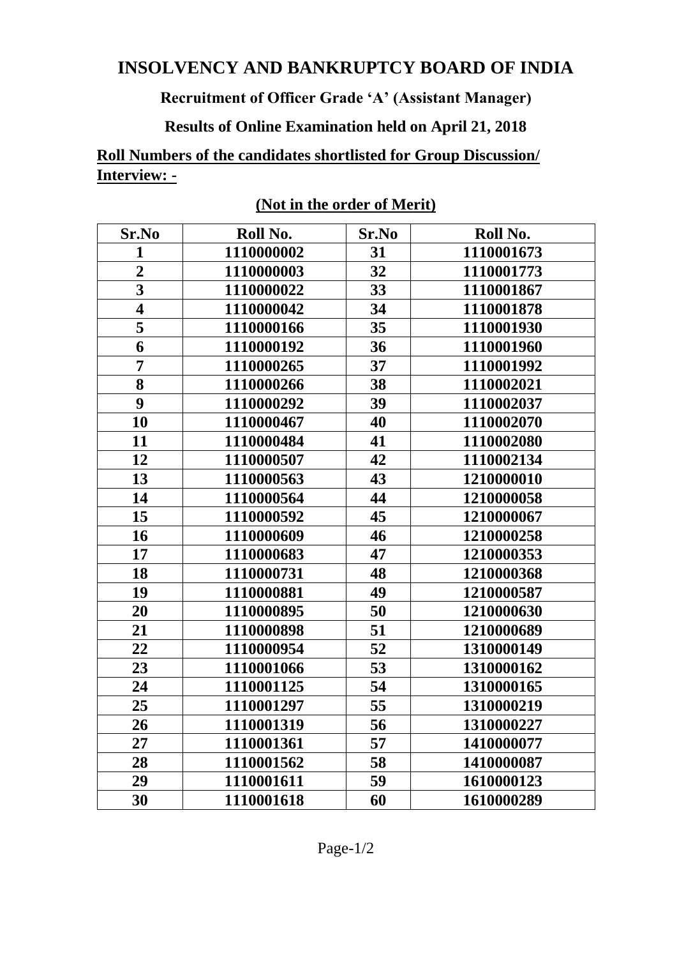## **INSOLVENCY AND BANKRUPTCY BOARD OF INDIA**

## **Recruitment of Officer Grade 'A' (Assistant Manager)**

## **Results of Online Examination held on April 21, 2018**

**Roll Numbers of the candidates shortlisted for Group Discussion/ Interview: -**

| Sr.No                   | Roll No.   | Sr.No | Roll No.   |
|-------------------------|------------|-------|------------|
| $\mathbf{1}$            | 1110000002 | 31    | 1110001673 |
| $\overline{2}$          | 1110000003 | 32    | 1110001773 |
| $\overline{\mathbf{3}}$ | 1110000022 | 33    | 1110001867 |
| $\overline{\mathbf{4}}$ | 1110000042 | 34    | 1110001878 |
| 5                       | 1110000166 | 35    | 1110001930 |
| 6                       | 1110000192 | 36    | 1110001960 |
| $\overline{7}$          | 1110000265 | 37    | 1110001992 |
| $\overline{\mathbf{8}}$ | 1110000266 | 38    | 1110002021 |
| 9                       | 1110000292 | 39    | 1110002037 |
| 10                      | 1110000467 | 40    | 1110002070 |
| 11                      | 1110000484 | 41    | 1110002080 |
| 12                      | 1110000507 | 42    | 1110002134 |
| 13                      | 1110000563 | 43    | 1210000010 |
| 14                      | 1110000564 | 44    | 1210000058 |
| 15                      | 1110000592 | 45    | 1210000067 |
| 16                      | 1110000609 | 46    | 1210000258 |
| 17                      | 1110000683 | 47    | 1210000353 |
| 18                      | 1110000731 | 48    | 1210000368 |
| 19                      | 1110000881 | 49    | 1210000587 |
| 20                      | 1110000895 | 50    | 1210000630 |
| 21                      | 1110000898 | 51    | 1210000689 |
| 22                      | 1110000954 | 52    | 1310000149 |
| 23                      | 1110001066 | 53    | 1310000162 |
| 24                      | 1110001125 | 54    | 1310000165 |
| 25                      | 1110001297 | 55    | 1310000219 |
| 26                      | 1110001319 | 56    | 1310000227 |
| 27                      | 1110001361 | 57    | 1410000077 |
| 28                      | 1110001562 | 58    | 1410000087 |
| 29                      | 1110001611 | 59    | 1610000123 |
| 30                      | 1110001618 | 60    | 1610000289 |

**(Not in the order of Merit)**